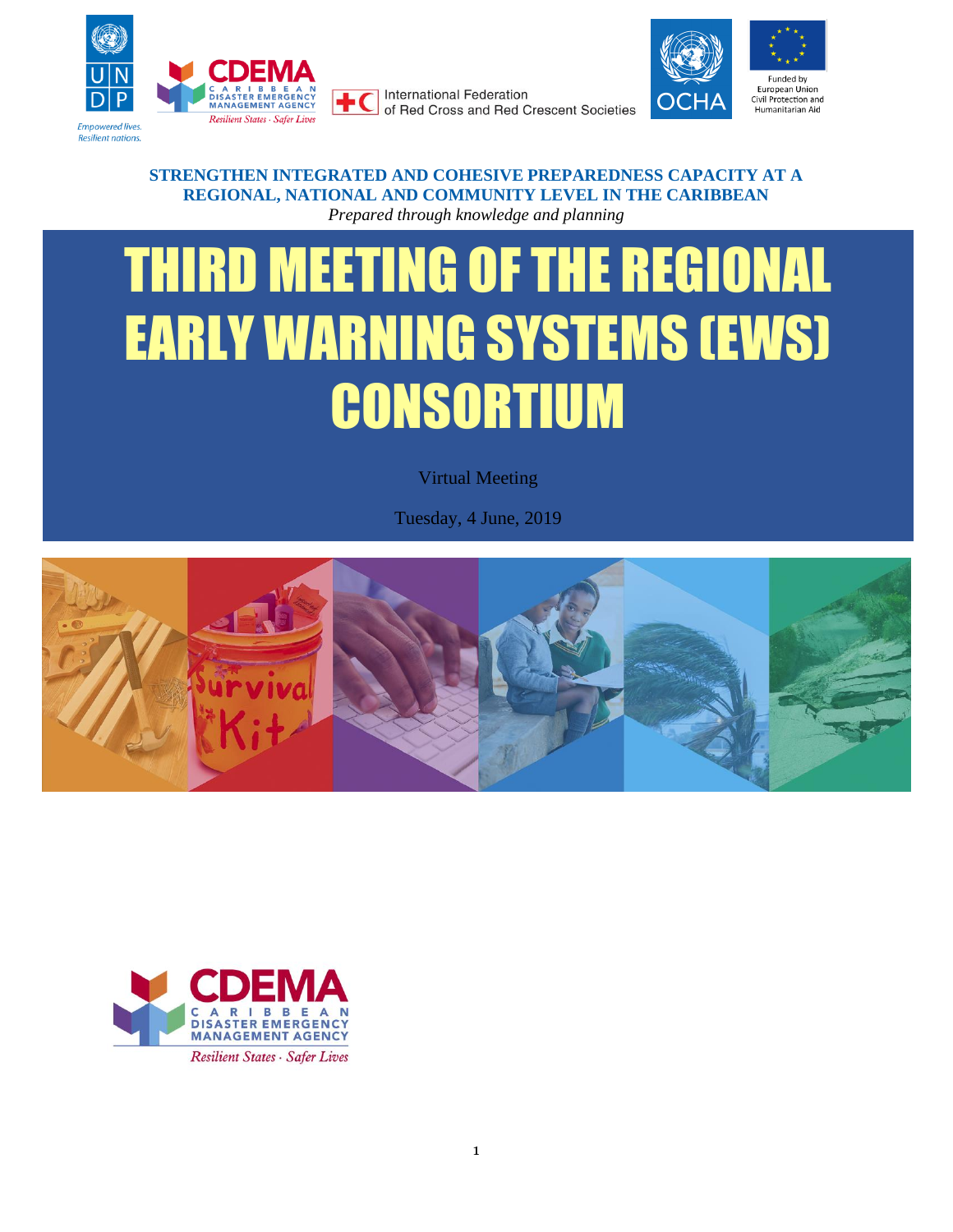

**International Federation** of Red Cross and Red Crescent Societies



#### **STRENGTHEN INTEGRATED AND COHESIVE PREPAREDNESS CAPACITY AT A REGIONAL, NATIONAL AND COMMUNITY LEVEL IN THE CARIBBEAN** *Prepared through knowledge and planning*

# THIRD MEETING OF THE REGIONAL EARLY WARNING SYSTEMS (EWS) CONSORTIUM

Virtual Meeting

Tuesday, 4 June, 2019



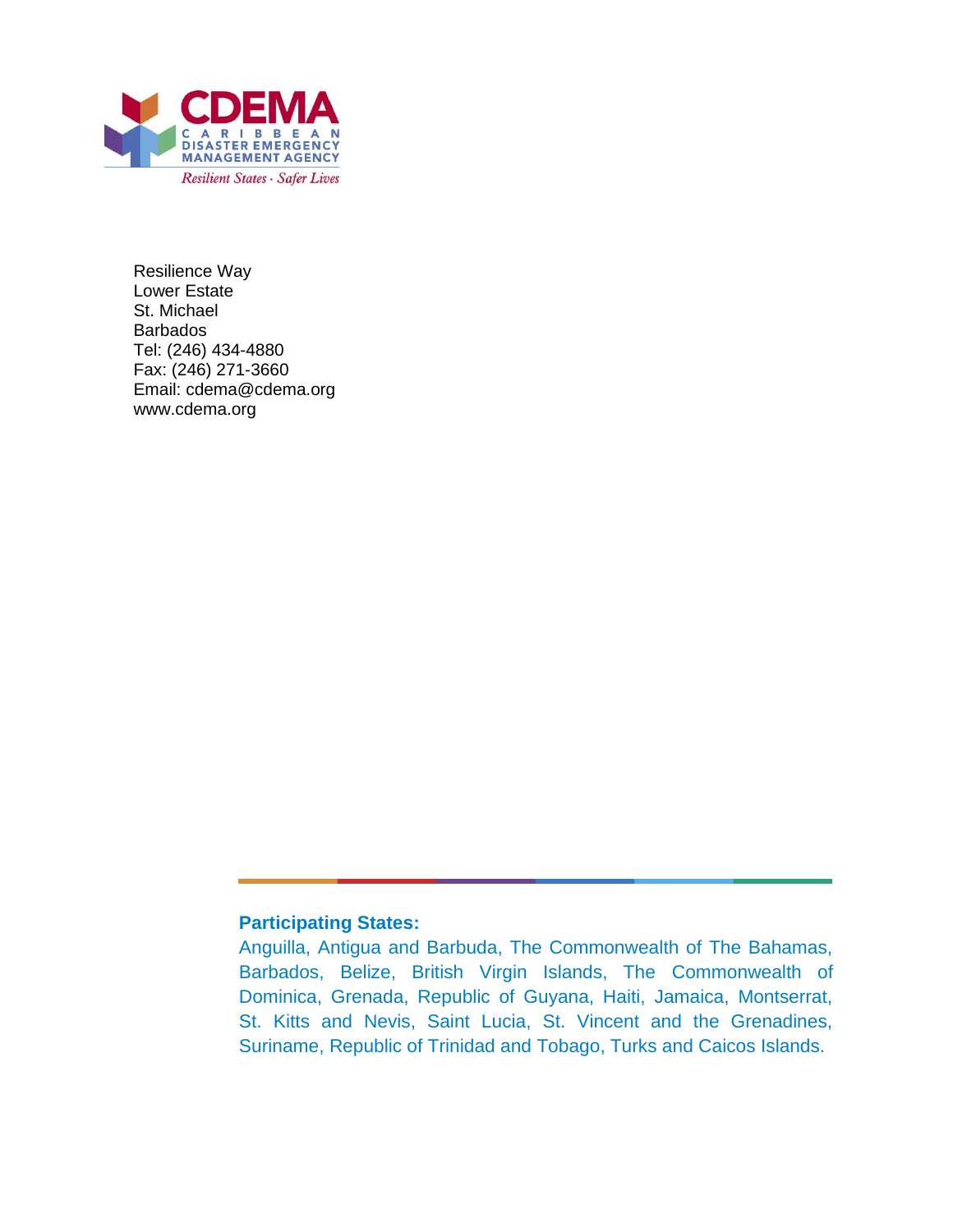

Resilience Way Lower Estate St. Michael **Barbados** Tel: (246) 434-4880 Fax: (246) 271-3660 Email: cdema@cdema.org www.cdema.org

#### **Participating States:**

Anguilla, Antigua and Barbuda, The Commonwealth of The Bahamas, Barbados, Belize, British Virgin Islands, The Commonwealth of Dominica, Grenada, Republic of Guyana, Haiti, Jamaica, Montserrat, St. Kitts and Nevis, Saint Lucia, St. Vincent and the Grenadines, Suriname, Republic of Trinidad and Tobago, Turks and Caicos Islands.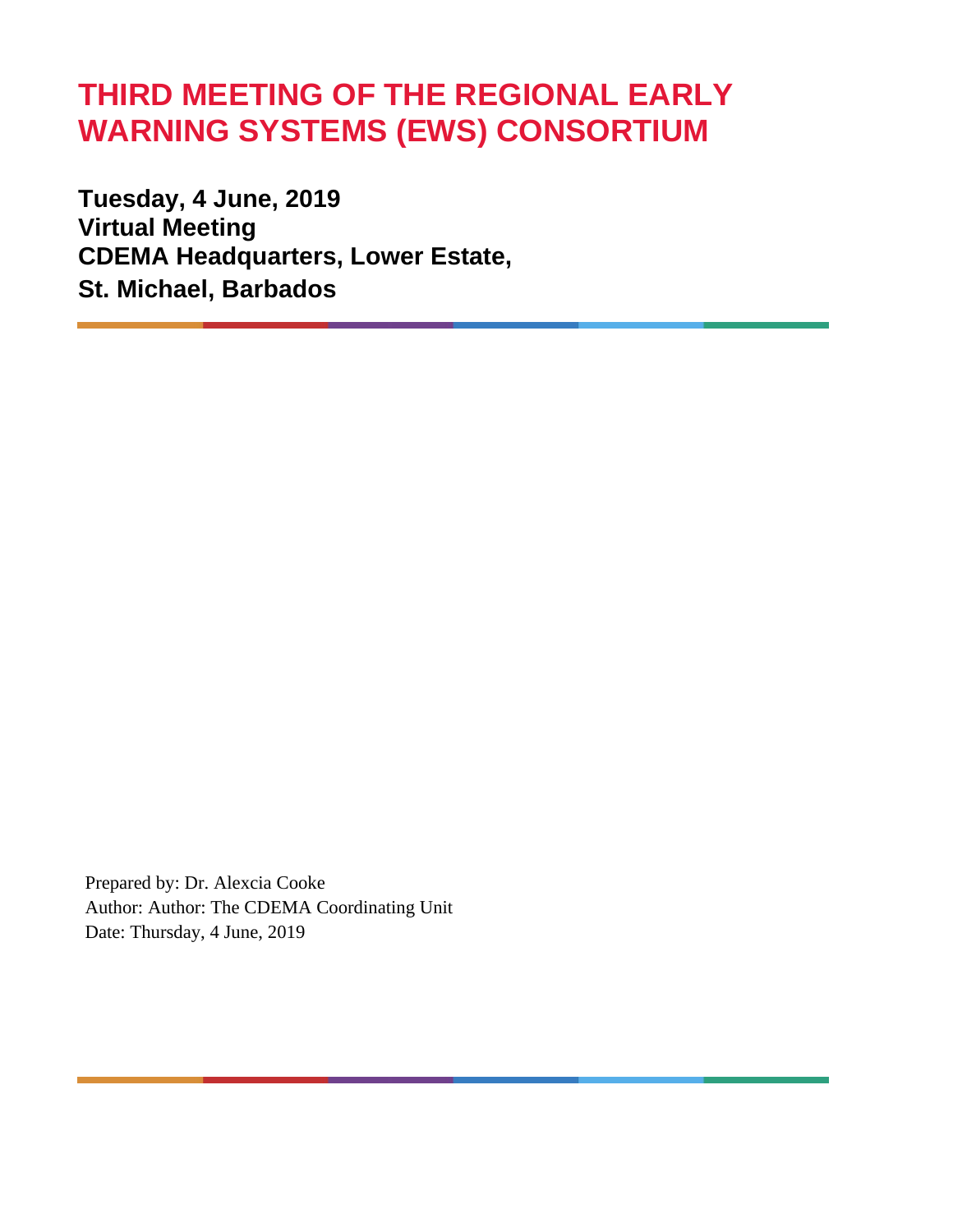# **THIRD MEETING OF THE REGIONAL EARLY WARNING SYSTEMS (EWS) CONSORTIUM**

**Tuesday, 4 June, 2019 Virtual Meeting CDEMA Headquarters, Lower Estate, St. Michael, Barbados**

Prepared by: Dr. Alexcia Cooke Author: Author: The CDEMA Coordinating Unit Date: Thursday, 4 June, 2019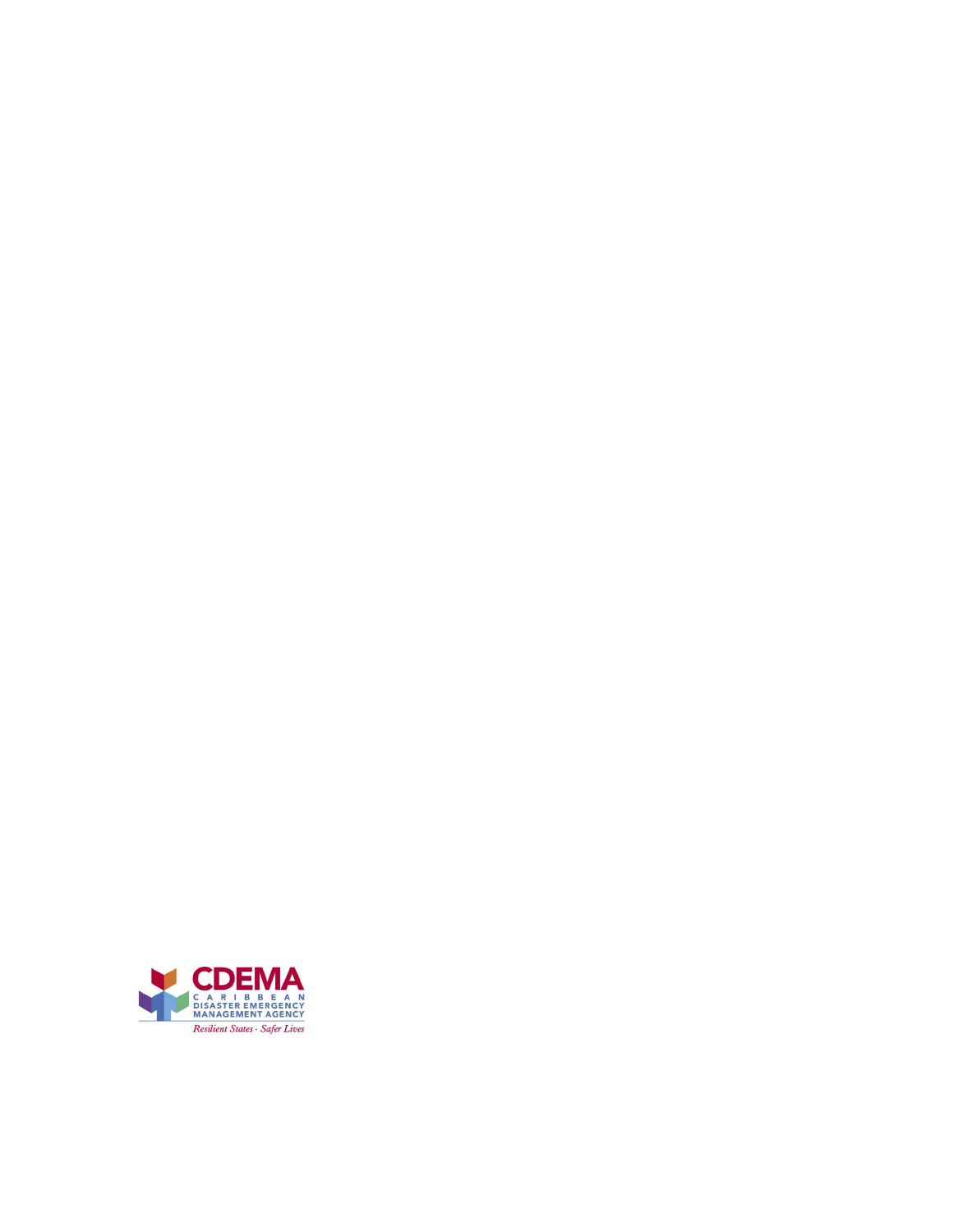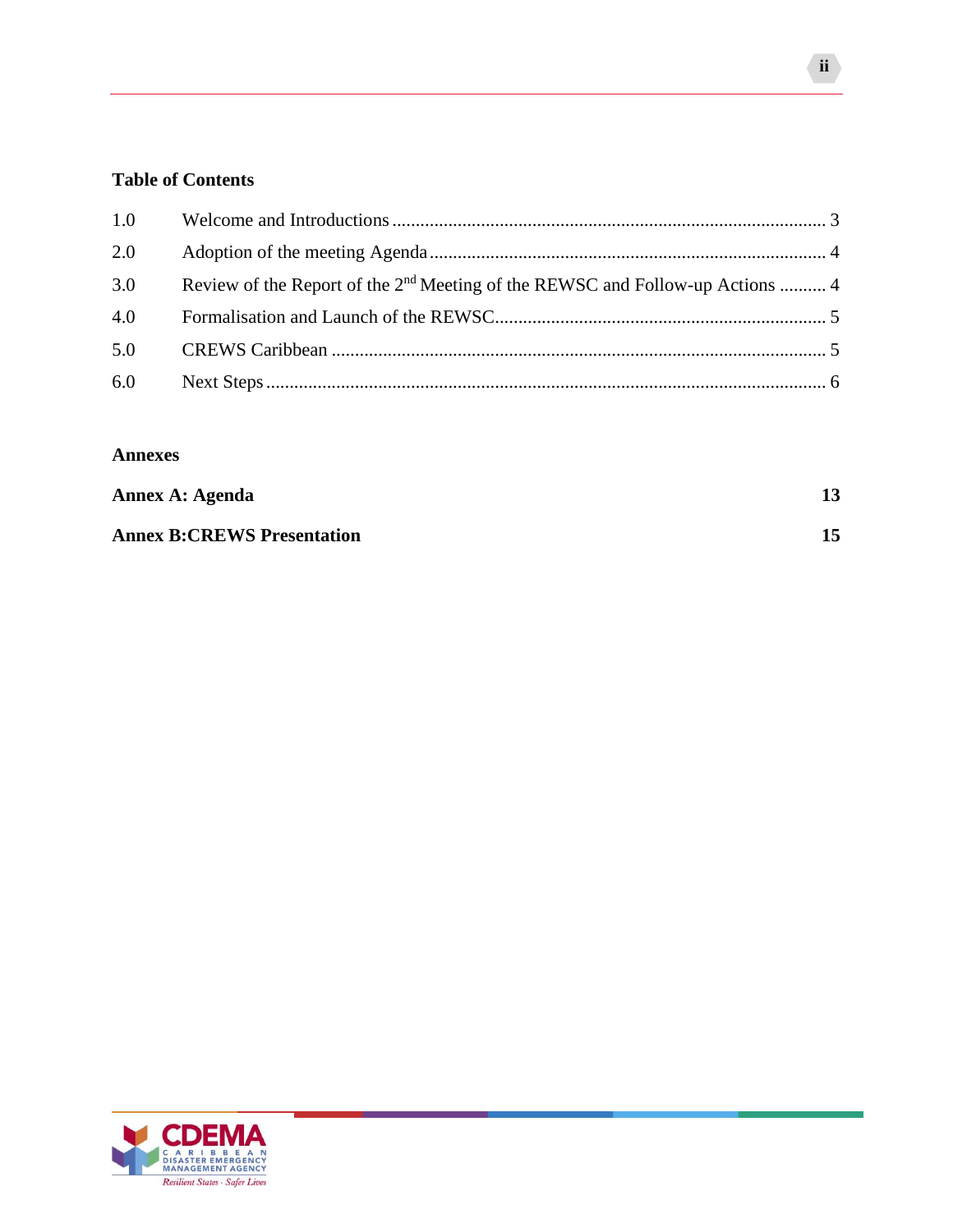#### **Table of Contents**

| 1.0 |                                                                                           |  |
|-----|-------------------------------------------------------------------------------------------|--|
| 2.0 |                                                                                           |  |
| 3.0 | Review of the Report of the 2 <sup>nd</sup> Meeting of the REWSC and Follow-up Actions  4 |  |
| 4.0 |                                                                                           |  |
| 5.0 |                                                                                           |  |
| 6.0 |                                                                                           |  |

#### **Annexes**

| Annex A: Agenda                   |  |
|-----------------------------------|--|
| <b>Annex B:CREWS Presentation</b> |  |

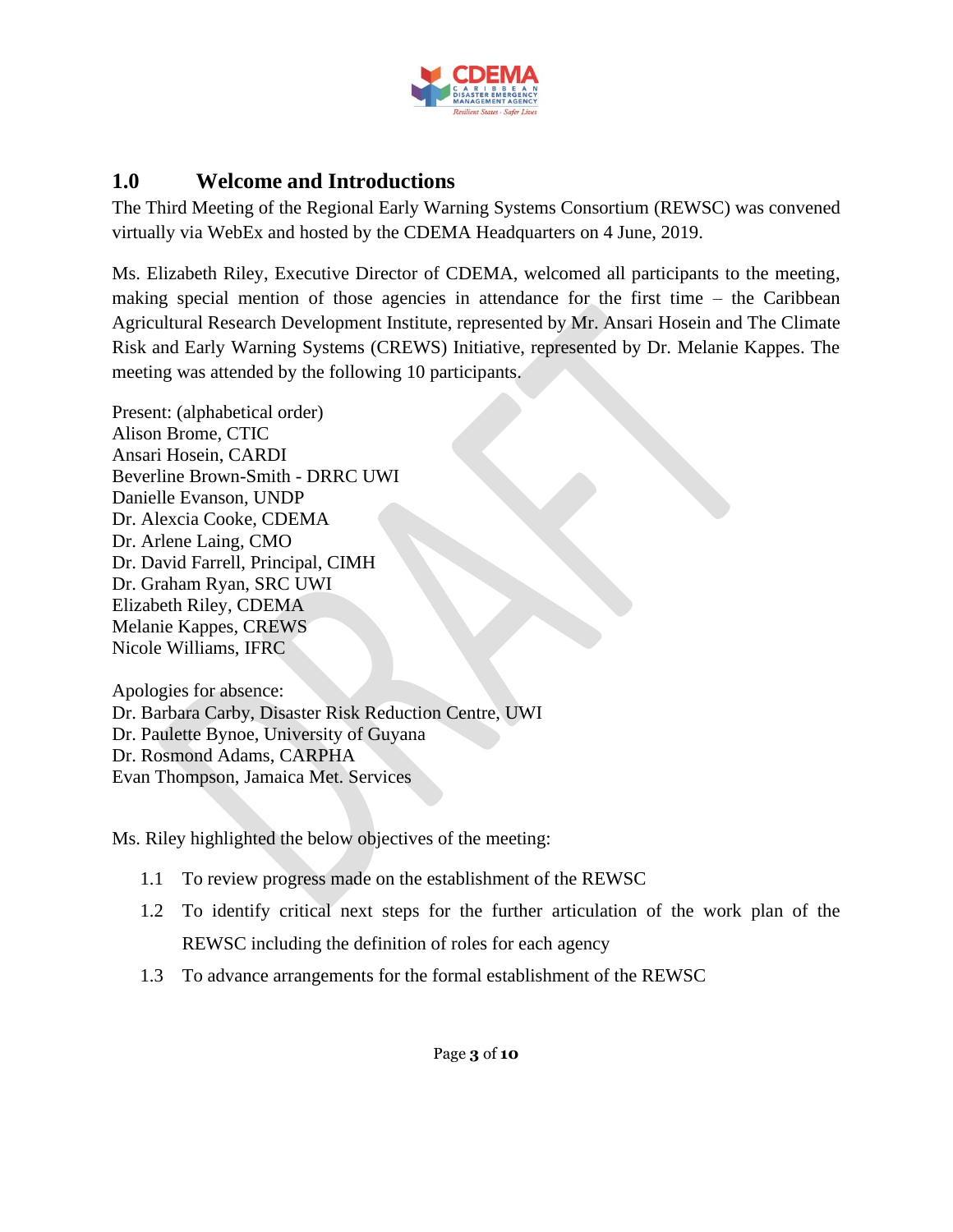

#### <span id="page-5-0"></span>**1.0 Welcome and Introductions**

The Third Meeting of the Regional Early Warning Systems Consortium (REWSC) was convened virtually via WebEx and hosted by the CDEMA Headquarters on 4 June, 2019.

Ms. Elizabeth Riley, Executive Director of CDEMA, welcomed all participants to the meeting, making special mention of those agencies in attendance for the first time – the Caribbean Agricultural Research Development Institute, represented by Mr. Ansari Hosein and The Climate Risk and Early Warning Systems (CREWS) Initiative, represented by Dr. Melanie Kappes. The meeting was attended by the following 10 participants.

Present: (alphabetical order) Alison Brome, CTIC Ansari Hosein, CARDI Beverline Brown-Smith - DRRC UWI Danielle Evanson, UNDP Dr. Alexcia Cooke, CDEMA Dr. Arlene Laing, CMO Dr. David Farrell, Principal, CIMH Dr. Graham Ryan, SRC UWI Elizabeth Riley, CDEMA Melanie Kappes, CREWS Nicole Williams, IFRC

Apologies for absence: Dr. Barbara Carby, Disaster Risk Reduction Centre, UWI Dr. Paulette Bynoe, University of Guyana Dr. Rosmond Adams, CARPHA Evan Thompson, Jamaica Met. Services

Ms. Riley highlighted the below objectives of the meeting:

- 1.1 To review progress made on the establishment of the REWSC
- 1.2 To identify critical next steps for the further articulation of the work plan of the REWSC including the definition of roles for each agency
- 1.3 To advance arrangements for the formal establishment of the REWSC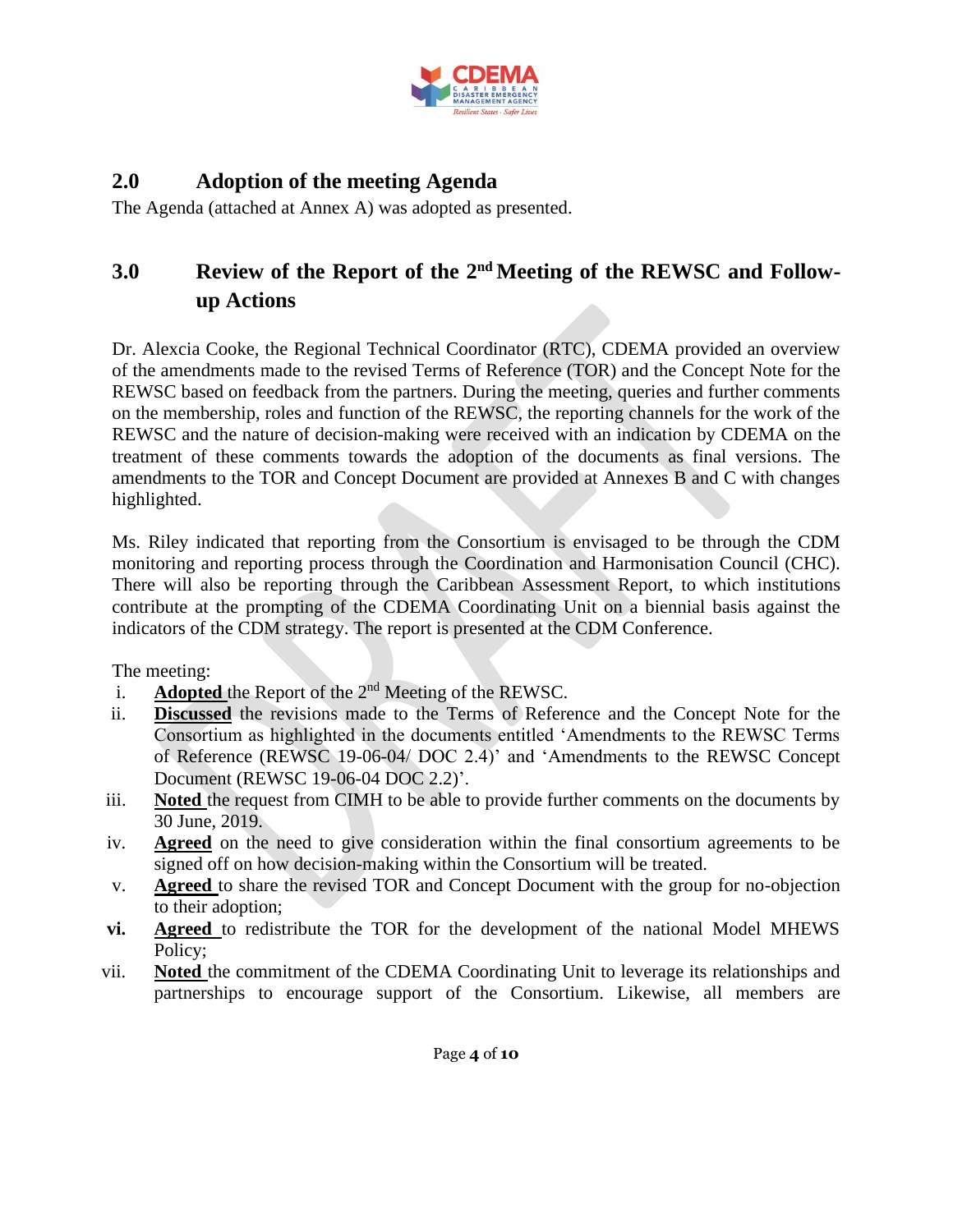

# <span id="page-6-0"></span>**2.0 Adoption of the meeting Agenda**

The Agenda (attached at Annex A) was adopted as presented.

# <span id="page-6-1"></span>**3.0 Review of the Report of the 2nd Meeting of the REWSC and Followup Actions**

Dr. Alexcia Cooke, the Regional Technical Coordinator (RTC), CDEMA provided an overview of the amendments made to the revised Terms of Reference (TOR) and the Concept Note for the REWSC based on feedback from the partners. During the meeting, queries and further comments on the membership, roles and function of the REWSC, the reporting channels for the work of the REWSC and the nature of decision-making were received with an indication by CDEMA on the treatment of these comments towards the adoption of the documents as final versions. The amendments to the TOR and Concept Document are provided at Annexes B and C with changes highlighted.

Ms. Riley indicated that reporting from the Consortium is envisaged to be through the CDM monitoring and reporting process through the Coordination and Harmonisation Council (CHC). There will also be reporting through the Caribbean Assessment Report, to which institutions contribute at the prompting of the CDEMA Coordinating Unit on a biennial basis against the indicators of the CDM strategy. The report is presented at the CDM Conference.

The meeting:

- i. **Adopted** the Report of the 2nd Meeting of the REWSC.
- ii. **Discussed** the revisions made to the Terms of Reference and the Concept Note for the Consortium as highlighted in the documents entitled 'Amendments to the REWSC Terms of Reference (REWSC 19-06-04/ DOC 2.4)' and 'Amendments to the REWSC Concept Document (REWSC 19-06-04 DOC 2.2)'.
- iii. **Noted** the request from CIMH to be able to provide further comments on the documents by 30 June, 2019.
- iv. **Agreed** on the need to give consideration within the final consortium agreements to be signed off on how decision-making within the Consortium will be treated.
- v. **Agreed** to share the revised TOR and Concept Document with the group for no-objection to their adoption;
- **vi. Agreed** to redistribute the TOR for the development of the national Model MHEWS Policy;
- vii. **Noted** the commitment of the CDEMA Coordinating Unit to leverage its relationships and partnerships to encourage support of the Consortium. Likewise, all members are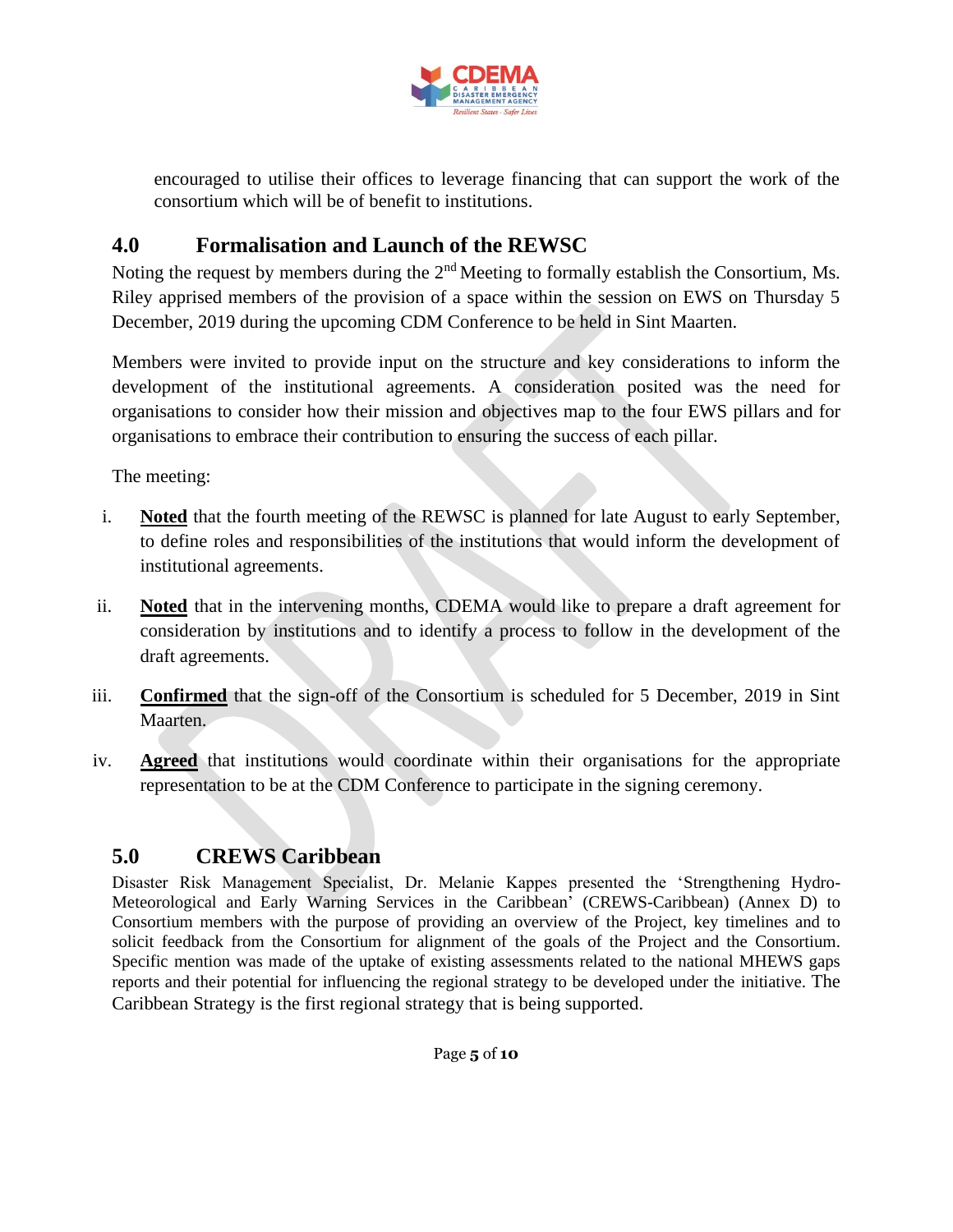

encouraged to utilise their offices to leverage financing that can support the work of the consortium which will be of benefit to institutions.

### <span id="page-7-0"></span>**4.0 Formalisation and Launch of the REWSC**

Noting the request by members during the 2<sup>nd</sup> Meeting to formally establish the Consortium, Ms. Riley apprised members of the provision of a space within the session on EWS on Thursday 5 December, 2019 during the upcoming CDM Conference to be held in Sint Maarten.

Members were invited to provide input on the structure and key considerations to inform the development of the institutional agreements. A consideration posited was the need for organisations to consider how their mission and objectives map to the four EWS pillars and for organisations to embrace their contribution to ensuring the success of each pillar.

The meeting:

- i. **Noted** that the fourth meeting of the REWSC is planned for late August to early September, to define roles and responsibilities of the institutions that would inform the development of institutional agreements.
- ii. **Noted** that in the intervening months, CDEMA would like to prepare a draft agreement for consideration by institutions and to identify a process to follow in the development of the draft agreements.
- iii. **Confirmed** that the sign-off of the Consortium is scheduled for 5 December, 2019 in Sint Maarten.
- iv. **Agreed** that institutions would coordinate within their organisations for the appropriate representation to be at the CDM Conference to participate in the signing ceremony.

## <span id="page-7-1"></span>**5.0 CREWS Caribbean**

Disaster Risk Management Specialist, Dr. Melanie Kappes presented the 'Strengthening Hydro-Meteorological and Early Warning Services in the Caribbean' (CREWS-Caribbean) (Annex D) to Consortium members with the purpose of providing an overview of the Project, key timelines and to solicit feedback from the Consortium for alignment of the goals of the Project and the Consortium. Specific mention was made of the uptake of existing assessments related to the national MHEWS gaps reports and their potential for influencing the regional strategy to be developed under the initiative. The Caribbean Strategy is the first regional strategy that is being supported.

Page **5** of **10**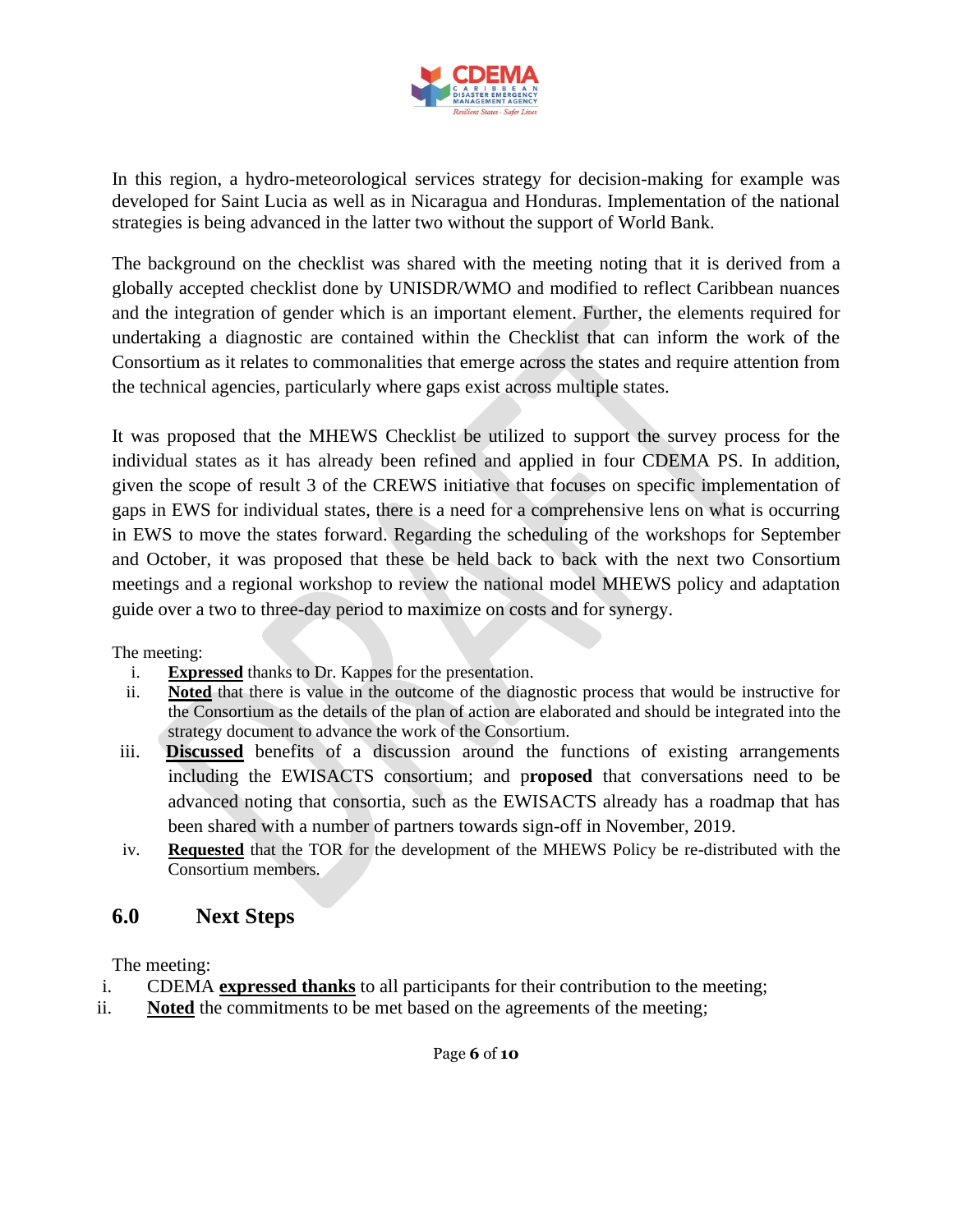

In this region, a hydro-meteorological services strategy for decision-making for example was developed for Saint Lucia as well as in Nicaragua and Honduras. Implementation of the national strategies is being advanced in the latter two without the support of World Bank.

The background on the checklist was shared with the meeting noting that it is derived from a globally accepted checklist done by UNISDR/WMO and modified to reflect Caribbean nuances and the integration of gender which is an important element. Further, the elements required for undertaking a diagnostic are contained within the Checklist that can inform the work of the Consortium as it relates to commonalities that emerge across the states and require attention from the technical agencies, particularly where gaps exist across multiple states.

It was proposed that the MHEWS Checklist be utilized to support the survey process for the individual states as it has already been refined and applied in four CDEMA PS. In addition, given the scope of result 3 of the CREWS initiative that focuses on specific implementation of gaps in EWS for individual states, there is a need for a comprehensive lens on what is occurring in EWS to move the states forward. Regarding the scheduling of the workshops for September and October, it was proposed that these be held back to back with the next two Consortium meetings and a regional workshop to review the national model MHEWS policy and adaptation guide over a two to three-day period to maximize on costs and for synergy.

The meeting:

- i. **Expressed** thanks to Dr. Kappes for the presentation.
- ii. **Noted** that there is value in the outcome of the diagnostic process that would be instructive for the Consortium as the details of the plan of action are elaborated and should be integrated into the strategy document to advance the work of the Consortium.
- iii. **Discussed** benefits of a discussion around the functions of existing arrangements including the EWISACTS consortium; and p**roposed** that conversations need to be advanced noting that consortia, such as the EWISACTS already has a roadmap that has been shared with a number of partners towards sign-off in November, 2019.
- iv. **Requested** that the TOR for the development of the MHEWS Policy be re-distributed with the Consortium members.

#### <span id="page-8-0"></span>**6.0 Next Steps**

The meeting:

- i. CDEMA **expressed thanks** to all participants for their contribution to the meeting;
- ii. **Noted** the commitments to be met based on the agreements of the meeting;